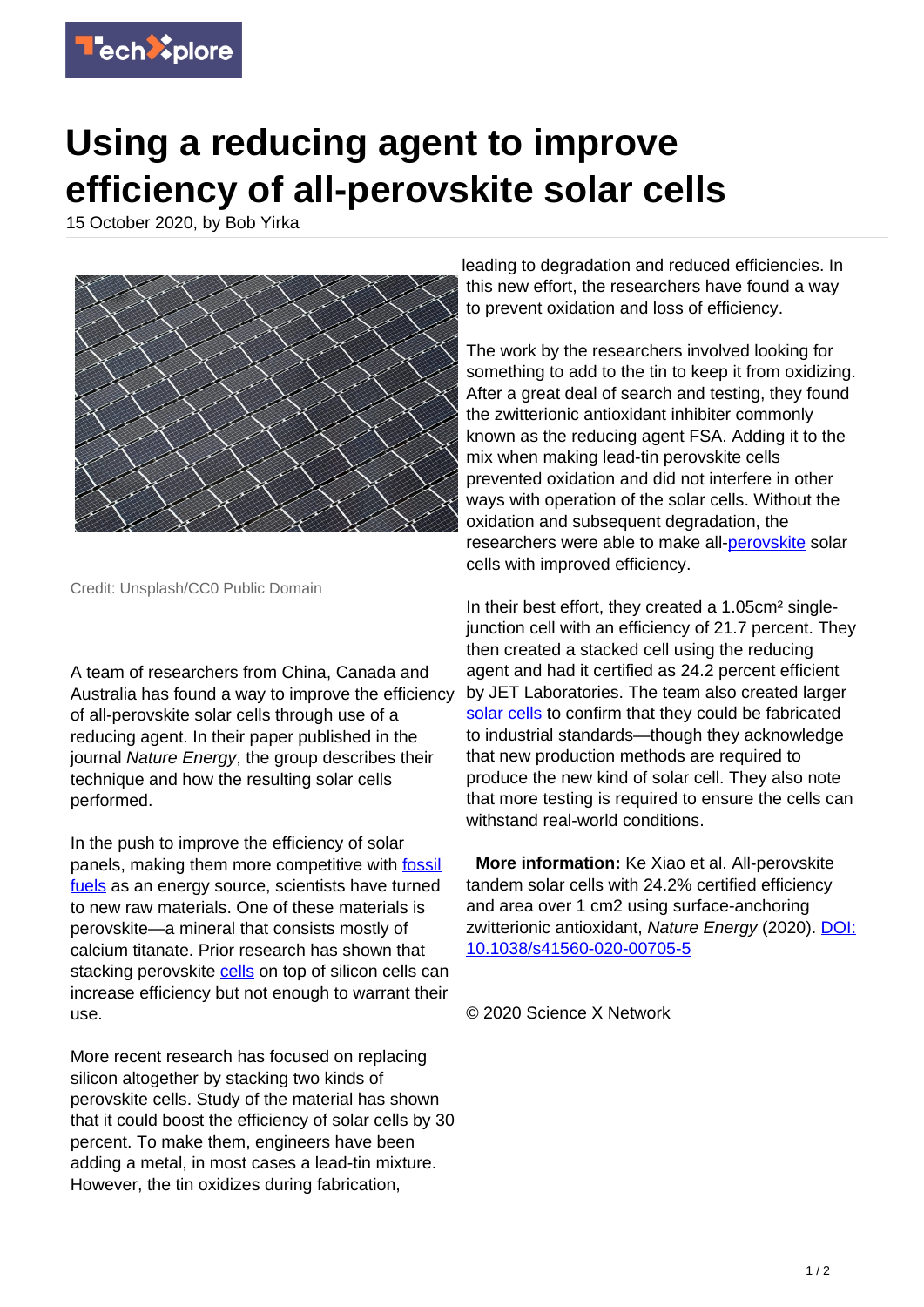

## **Using a reducing agent to improve efficiency of all-perovskite solar cells**

15 October 2020, by Bob Yirka



Credit: Unsplash/CC0 Public Domain

A team of researchers from China, Canada and Australia has found a way to improve the efficiency of all-perovskite solar cells through use of a reducing agent. In their paper published in the journal Nature Energy, the group describes their technique and how the resulting solar cells performed.

In the push to improve the efficiency of solar panels, making them more competitive with [fossil](https://techxplore.com/tags/fossil+fuels/) [fuels](https://techxplore.com/tags/fossil+fuels/) as an energy source, scientists have turned to new raw materials. One of these materials is perovskite—a mineral that consists mostly of calcium titanate. Prior research has shown that stacking perovskite [cells](https://techxplore.com/tags/cells/) on top of silicon cells can increase efficiency but not enough to warrant their use.

More recent research has focused on replacing silicon altogether by stacking two kinds of perovskite cells. Study of the material has shown that it could boost the efficiency of solar cells by 30 percent. To make them, engineers have been adding a metal, in most cases a lead-tin mixture. However, the tin oxidizes during fabrication,

leading to degradation and reduced efficiencies. In this new effort, the researchers have found a way to prevent oxidation and loss of efficiency.

The work by the researchers involved looking for something to add to the tin to keep it from oxidizing. After a great deal of search and testing, they found the zwitterionic antioxidant inhibiter commonly known as the reducing agent FSA. Adding it to the mix when making lead-tin perovskite cells prevented oxidation and did not interfere in other ways with operation of the solar cells. Without the oxidation and subsequent degradation, the researchers were able to make all[-perovskite](https://techxplore.com/tags/perovskite/) solar cells with improved efficiency.

In their best effort, they created a 1.05cm² singlejunction cell with an efficiency of 21.7 percent. They then created a stacked cell using the reducing agent and had it certified as 24.2 percent efficient by JET Laboratories. The team also created larger [solar cells](https://techxplore.com/tags/solar+cells/) to confirm that they could be fabricated to industrial standards—though they acknowledge that new production methods are required to produce the new kind of solar cell. They also note that more testing is required to ensure the cells can withstand real-world conditions.

 **More information:** Ke Xiao et al. All-perovskite tandem solar cells with 24.2% certified efficiency and area over 1 cm2 using surface-anchoring zwitterionic antioxidant, Nature Energy (2020). [DOI:](http://dx.doi.org/10.1038/s41560-020-00705-5) [10.1038/s41560-020-00705-5](http://dx.doi.org/10.1038/s41560-020-00705-5)

© 2020 Science X Network